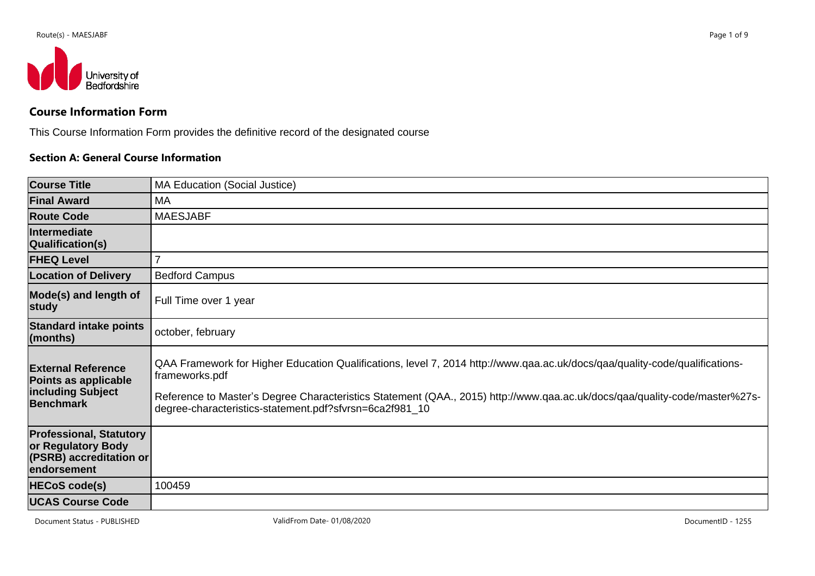

# **Course Information Form**

This Course Information Form provides the definitive record of the designated course

### **Section A: General Course Information**

| <b>Course Title</b>                                                                            | <b>MA Education (Social Justice)</b>                                                                                                                                                                                                                                                                                                   |
|------------------------------------------------------------------------------------------------|----------------------------------------------------------------------------------------------------------------------------------------------------------------------------------------------------------------------------------------------------------------------------------------------------------------------------------------|
| <b>Final Award</b>                                                                             | MA                                                                                                                                                                                                                                                                                                                                     |
| <b>Route Code</b>                                                                              | <b>MAESJABF</b>                                                                                                                                                                                                                                                                                                                        |
| Intermediate<br>Qualification(s)                                                               |                                                                                                                                                                                                                                                                                                                                        |
| <b>FHEQ Level</b>                                                                              | $\overline{7}$                                                                                                                                                                                                                                                                                                                         |
| <b>Location of Delivery</b>                                                                    | <b>Bedford Campus</b>                                                                                                                                                                                                                                                                                                                  |
| Mode(s) and length of<br>study                                                                 | Full Time over 1 year                                                                                                                                                                                                                                                                                                                  |
| <b>Standard intake points</b><br>$ $ (months)                                                  | october, february                                                                                                                                                                                                                                                                                                                      |
| <b>External Reference</b><br>Points as applicable<br>including Subject<br><b>Benchmark</b>     | QAA Framework for Higher Education Qualifications, level 7, 2014 http://www.qaa.ac.uk/docs/qaa/quality-code/qualifications-<br>frameworks.pdf<br>Reference to Master's Degree Characteristics Statement (QAA., 2015) http://www.qaa.ac.uk/docs/qaa/quality-code/master%27s-<br>degree-characteristics-statement.pdf?sfvrsn=6ca2f981_10 |
| <b>Professional, Statutory</b><br>or Regulatory Body<br>(PSRB) accreditation or<br>endorsement |                                                                                                                                                                                                                                                                                                                                        |
| <b>HECoS code(s)</b>                                                                           | 100459                                                                                                                                                                                                                                                                                                                                 |
| <b>UCAS Course Code</b>                                                                        |                                                                                                                                                                                                                                                                                                                                        |

Document Status - PUBLISHED ValidFrom Date- 01/08/2020 DocumentID - 1255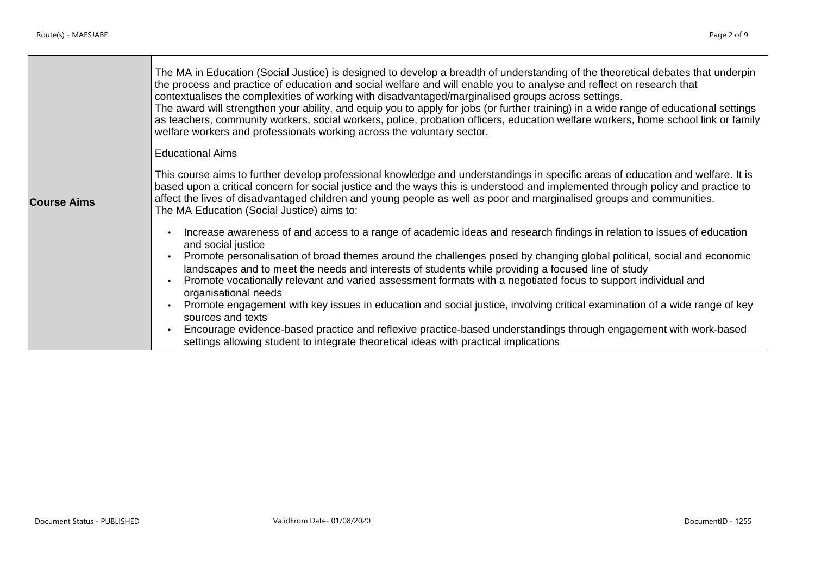|                    | The MA in Education (Social Justice) is designed to develop a breadth of understanding of the theoretical debates that underpin<br>the process and practice of education and social welfare and will enable you to analyse and reflect on research that<br>contextualises the complexities of working with disadvantaged/marginalised groups across settings.<br>The award will strengthen your ability, and equip you to apply for jobs (or further training) in a wide range of educational settings<br>as teachers, community workers, social workers, police, probation officers, education welfare workers, home school link or family<br>welfare workers and professionals working across the voluntary sector.                                                                                                                                                                                        |
|--------------------|--------------------------------------------------------------------------------------------------------------------------------------------------------------------------------------------------------------------------------------------------------------------------------------------------------------------------------------------------------------------------------------------------------------------------------------------------------------------------------------------------------------------------------------------------------------------------------------------------------------------------------------------------------------------------------------------------------------------------------------------------------------------------------------------------------------------------------------------------------------------------------------------------------------|
|                    | <b>Educational Aims</b>                                                                                                                                                                                                                                                                                                                                                                                                                                                                                                                                                                                                                                                                                                                                                                                                                                                                                      |
| <b>Course Aims</b> | This course aims to further develop professional knowledge and understandings in specific areas of education and welfare. It is<br>based upon a critical concern for social justice and the ways this is understood and implemented through policy and practice to<br>affect the lives of disadvantaged children and young people as well as poor and marginalised groups and communities.<br>The MA Education (Social Justice) aims to:                                                                                                                                                                                                                                                                                                                                                                                                                                                                     |
|                    | Increase awareness of and access to a range of academic ideas and research findings in relation to issues of education<br>and social justice<br>Promote personalisation of broad themes around the challenges posed by changing global political, social and economic<br>landscapes and to meet the needs and interests of students while providing a focused line of study<br>Promote vocationally relevant and varied assessment formats with a negotiated focus to support individual and<br>$\bullet$<br>organisational needs<br>Promote engagement with key issues in education and social justice, involving critical examination of a wide range of key<br>$\bullet$<br>sources and texts<br>Encourage evidence-based practice and reflexive practice-based understandings through engagement with work-based<br>settings allowing student to integrate theoretical ideas with practical implications |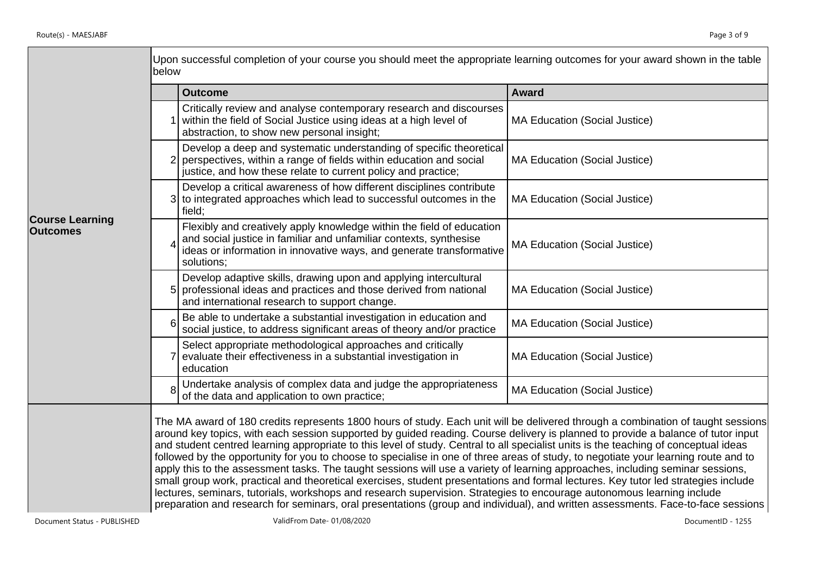|                                           | below | Upon successful completion of your course you should meet the appropriate learning outcomes for your award shown in the table                                                                                                                                                                                                                                                                                                                                                                                                                                                                                                                                                                                                                                                                                                                                                                                                                                                                                                                                                             |                                      |
|-------------------------------------------|-------|-------------------------------------------------------------------------------------------------------------------------------------------------------------------------------------------------------------------------------------------------------------------------------------------------------------------------------------------------------------------------------------------------------------------------------------------------------------------------------------------------------------------------------------------------------------------------------------------------------------------------------------------------------------------------------------------------------------------------------------------------------------------------------------------------------------------------------------------------------------------------------------------------------------------------------------------------------------------------------------------------------------------------------------------------------------------------------------------|--------------------------------------|
|                                           |       | <b>Outcome</b>                                                                                                                                                                                                                                                                                                                                                                                                                                                                                                                                                                                                                                                                                                                                                                                                                                                                                                                                                                                                                                                                            | <b>Award</b>                         |
|                                           |       | Critically review and analyse contemporary research and discourses<br>within the field of Social Justice using ideas at a high level of<br>abstraction, to show new personal insight;                                                                                                                                                                                                                                                                                                                                                                                                                                                                                                                                                                                                                                                                                                                                                                                                                                                                                                     | <b>MA Education (Social Justice)</b> |
|                                           |       | Develop a deep and systematic understanding of specific theoretical<br>perspectives, within a range of fields within education and social<br>justice, and how these relate to current policy and practice;                                                                                                                                                                                                                                                                                                                                                                                                                                                                                                                                                                                                                                                                                                                                                                                                                                                                                | <b>MA Education (Social Justice)</b> |
|                                           |       | Develop a critical awareness of how different disciplines contribute<br>to integrated approaches which lead to successful outcomes in the<br>field:                                                                                                                                                                                                                                                                                                                                                                                                                                                                                                                                                                                                                                                                                                                                                                                                                                                                                                                                       | MA Education (Social Justice)        |
| <b>Course Learning</b><br><b>Outcomes</b> |       | Flexibly and creatively apply knowledge within the field of education<br>and social justice in familiar and unfamiliar contexts, synthesise<br>ideas or information in innovative ways, and generate transformative<br>solutions;                                                                                                                                                                                                                                                                                                                                                                                                                                                                                                                                                                                                                                                                                                                                                                                                                                                         | <b>MA Education (Social Justice)</b> |
|                                           |       | Develop adaptive skills, drawing upon and applying intercultural<br>5 professional ideas and practices and those derived from national<br>and international research to support change.                                                                                                                                                                                                                                                                                                                                                                                                                                                                                                                                                                                                                                                                                                                                                                                                                                                                                                   | <b>MA Education (Social Justice)</b> |
|                                           |       | Be able to undertake a substantial investigation in education and<br>social justice, to address significant areas of theory and/or practice                                                                                                                                                                                                                                                                                                                                                                                                                                                                                                                                                                                                                                                                                                                                                                                                                                                                                                                                               | MA Education (Social Justice)        |
|                                           |       | Select appropriate methodological approaches and critically<br>evaluate their effectiveness in a substantial investigation in<br>education                                                                                                                                                                                                                                                                                                                                                                                                                                                                                                                                                                                                                                                                                                                                                                                                                                                                                                                                                | <b>MA Education (Social Justice)</b> |
|                                           |       | Undertake analysis of complex data and judge the appropriateness<br>of the data and application to own practice;                                                                                                                                                                                                                                                                                                                                                                                                                                                                                                                                                                                                                                                                                                                                                                                                                                                                                                                                                                          | <b>MA Education (Social Justice)</b> |
|                                           |       | The MA award of 180 credits represents 1800 hours of study. Each unit will be delivered through a combination of taught sessions<br>around key topics, with each session supported by guided reading. Course delivery is planned to provide a balance of tutor input<br>and student centred learning appropriate to this level of study. Central to all specialist units is the teaching of conceptual ideas<br>followed by the opportunity for you to choose to specialise in one of three areas of study, to negotiate your learning route and to<br>apply this to the assessment tasks. The taught sessions will use a variety of learning approaches, including seminar sessions,<br>small group work, practical and theoretical exercises, student presentations and formal lectures. Key tutor led strategies include<br>lectures, seminars, tutorials, workshops and research supervision. Strategies to encourage autonomous learning include<br>preparation and research for seminars, oral presentations (group and individual), and written assessments. Face-to-face sessions |                                      |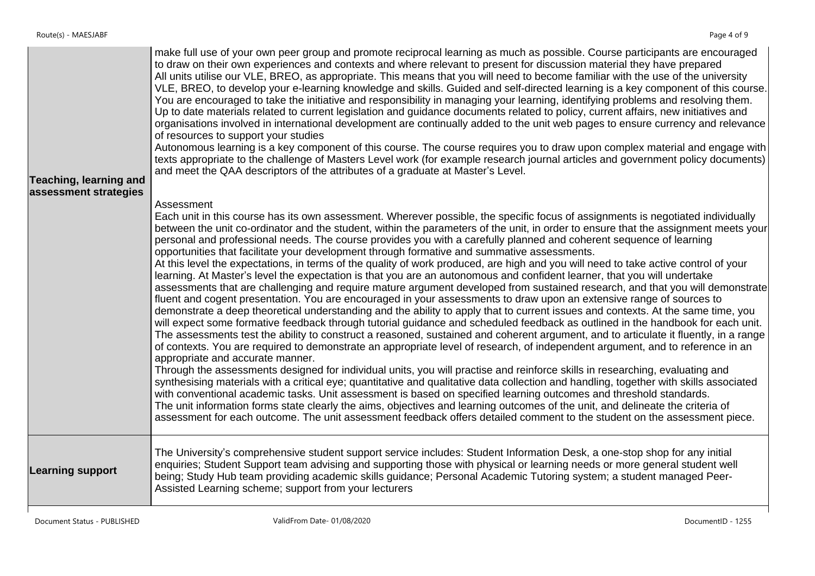| Teaching, learning and<br>assessment strategies | make full use of your own peer group and promote reciprocal learning as much as possible. Course participants are encouraged<br>to draw on their own experiences and contexts and where relevant to present for discussion material they have prepared<br>All units utilise our VLE, BREO, as appropriate. This means that you will need to become familiar with the use of the university<br>VLE, BREO, to develop your e-learning knowledge and skills. Guided and self-directed learning is a key component of this course.<br>You are encouraged to take the initiative and responsibility in managing your learning, identifying problems and resolving them.<br>Up to date materials related to current legislation and guidance documents related to policy, current affairs, new initiatives and<br>organisations involved in international development are continually added to the unit web pages to ensure currency and relevance<br>of resources to support your studies<br>Autonomous learning is a key component of this course. The course requires you to draw upon complex material and engage with<br>texts appropriate to the challenge of Masters Level work (for example research journal articles and government policy documents)<br>and meet the QAA descriptors of the attributes of a graduate at Master's Level.<br>Assessment<br>Each unit in this course has its own assessment. Wherever possible, the specific focus of assignments is negotiated individually<br>between the unit co-ordinator and the student, within the parameters of the unit, in order to ensure that the assignment meets your<br>personal and professional needs. The course provides you with a carefully planned and coherent sequence of learning<br>opportunities that facilitate your development through formative and summative assessments.<br>At this level the expectations, in terms of the quality of work produced, are high and you will need to take active control of your<br>learning. At Master's level the expectation is that you are an autonomous and confident learner, that you will undertake<br>assessments that are challenging and require mature argument developed from sustained research, and that you will demonstrate<br>fluent and cogent presentation. You are encouraged in your assessments to draw upon an extensive range of sources to<br>demonstrate a deep theoretical understanding and the ability to apply that to current issues and contexts. At the same time, you<br>will expect some formative feedback through tutorial guidance and scheduled feedback as outlined in the handbook for each unit.<br>The assessments test the ability to construct a reasoned, sustained and coherent argument, and to articulate it fluently, in a range<br>of contexts. You are required to demonstrate an appropriate level of research, of independent argument, and to reference in an<br>appropriate and accurate manner.<br>Through the assessments designed for individual units, you will practise and reinforce skills in researching, evaluating and<br>synthesising materials with a critical eye; quantitative and qualitative data collection and handling, together with skills associated<br>with conventional academic tasks. Unit assessment is based on specified learning outcomes and threshold standards.<br>The unit information forms state clearly the aims, objectives and learning outcomes of the unit, and delineate the criteria of<br>assessment for each outcome. The unit assessment feedback offers detailed comment to the student on the assessment piece. |
|-------------------------------------------------|--------------------------------------------------------------------------------------------------------------------------------------------------------------------------------------------------------------------------------------------------------------------------------------------------------------------------------------------------------------------------------------------------------------------------------------------------------------------------------------------------------------------------------------------------------------------------------------------------------------------------------------------------------------------------------------------------------------------------------------------------------------------------------------------------------------------------------------------------------------------------------------------------------------------------------------------------------------------------------------------------------------------------------------------------------------------------------------------------------------------------------------------------------------------------------------------------------------------------------------------------------------------------------------------------------------------------------------------------------------------------------------------------------------------------------------------------------------------------------------------------------------------------------------------------------------------------------------------------------------------------------------------------------------------------------------------------------------------------------------------------------------------------------------------------------------------------------------------------------------------------------------------------------------------------------------------------------------------------------------------------------------------------------------------------------------------------------------------------------------------------------------------------------------------------------------------------------------------------------------------------------------------------------------------------------------------------------------------------------------------------------------------------------------------------------------------------------------------------------------------------------------------------------------------------------------------------------------------------------------------------------------------------------------------------------------------------------------------------------------------------------------------------------------------------------------------------------------------------------------------------------------------------------------------------------------------------------------------------------------------------------------------------------------------------------------------------------------------------------------------------------------------------------------------------------------------------------------------------------------------------------------------------------------------------------------------------------------------------------------------------------------------------------------------------------------------------------------------------------------------------------------------------------------------------------------------------------------------------------------------------------------------|
| <b>Learning support</b>                         | The University's comprehensive student support service includes: Student Information Desk, a one-stop shop for any initial<br>enquiries; Student Support team advising and supporting those with physical or learning needs or more general student well<br>being; Study Hub team providing academic skills guidance; Personal Academic Tutoring system; a student managed Peer-<br>Assisted Learning scheme; support from your lecturers                                                                                                                                                                                                                                                                                                                                                                                                                                                                                                                                                                                                                                                                                                                                                                                                                                                                                                                                                                                                                                                                                                                                                                                                                                                                                                                                                                                                                                                                                                                                                                                                                                                                                                                                                                                                                                                                                                                                                                                                                                                                                                                                                                                                                                                                                                                                                                                                                                                                                                                                                                                                                                                                                                                                                                                                                                                                                                                                                                                                                                                                                                                                                                                                  |

┑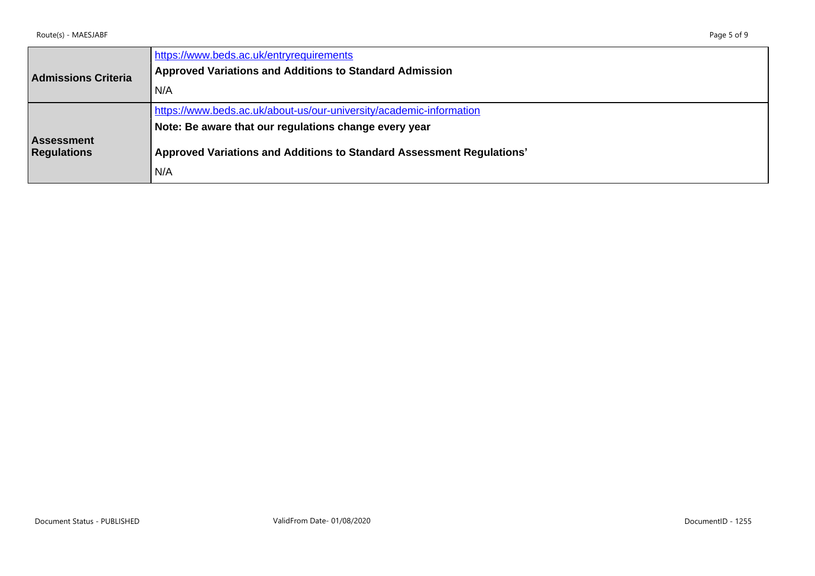| https://www.beds.ac.uk/entryrequirements |                                                                       |  |  |  |  |  |  |  |
|------------------------------------------|-----------------------------------------------------------------------|--|--|--|--|--|--|--|
| <b>Admissions Criteria</b>               | Approved Variations and Additions to Standard Admission               |  |  |  |  |  |  |  |
| N/A                                      |                                                                       |  |  |  |  |  |  |  |
|                                          | https://www.beds.ac.uk/about-us/our-university/academic-information   |  |  |  |  |  |  |  |
|                                          | Note: Be aware that our regulations change every year                 |  |  |  |  |  |  |  |
| <b>Assessment</b><br><b>Regulations</b>  | Approved Variations and Additions to Standard Assessment Regulations' |  |  |  |  |  |  |  |
|                                          | N/A                                                                   |  |  |  |  |  |  |  |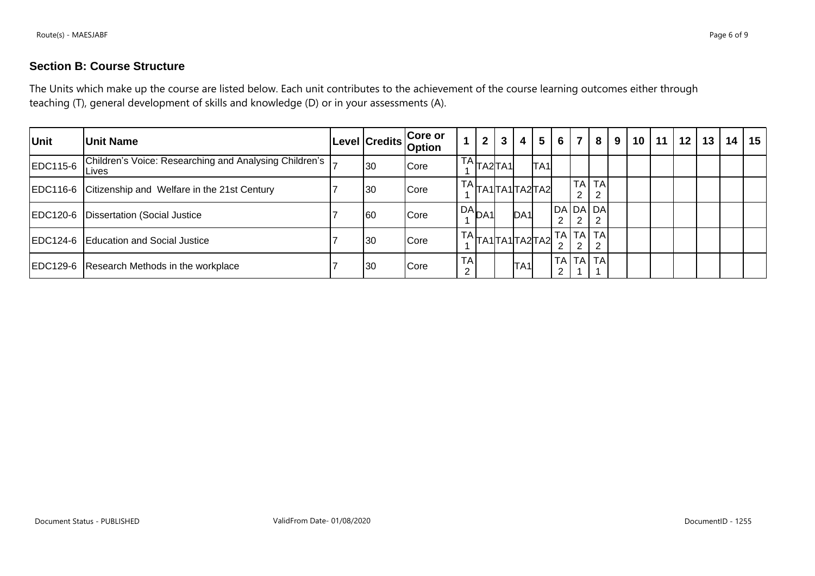### **Section B: Course Structure**

The Units which make up the course are listed below. Each unit contributes to the achievement of the course learning outcomes either through teaching (T), general development of skills and knowledge (D) or in your assessments (A).

| Unit       | lUnit Name                                                        | Level Credits | Core or<br><b>Option</b> | 1                              | $\mathbf{2}$ | 3 <sup>1</sup> | $\overline{4}$  | 5 <sup>1</sup>                    |                | $6   7   8  $              |              | 9 | 10 <sup>1</sup> | 11 | $12$   13 | 14 | 15 |
|------------|-------------------------------------------------------------------|---------------|--------------------------|--------------------------------|--------------|----------------|-----------------|-----------------------------------|----------------|----------------------------|--------------|---|-----------------|----|-----------|----|----|
| EDC115-6   | Children's Voice: Researching and Analysing Children's  <br>Lives | 30            | <b>Core</b>              |                                |              | $T_A$ TA2TA1   |                 | TA1                               |                |                            |              |   |                 |    |           |    |    |
| $EDC116-6$ | Citizenship and Welfare in the 21st Century                       | 30            | <b>Core</b>              |                                |              |                |                 | I <sup>тд</sup> ∏та1∏та1∏та2 Та2І |                | $\overline{2}$             | <b>TA TA</b> |   |                 |    |           |    |    |
|            | EDC120-6   Dissertation (Social Justice                           | 60            | <b>Core</b>              | $\mathsf{I}_{\mathsf{DA}}$ DA1 |              |                | DA <sub>1</sub> |                                   | $\mathbf{2}$   | DA DA DA<br>$\overline{2}$ |              |   |                 |    |           |    |    |
|            | EDC124-6   Education and Social Justice                           | 30            | Core                     |                                |              |                |                 | $T_A$ TA1TA1TA2TA2 TA TA TA       |                |                            |              |   |                 |    |           |    |    |
|            | EDC129-6 Research Methods in the workplace                        | 30            | Core                     | <b>TA</b><br>2                 |              |                | TA1             |                                   | 2 <sup>1</sup> | TA TA TA<br>1 <sup>1</sup> |              |   |                 |    |           |    |    |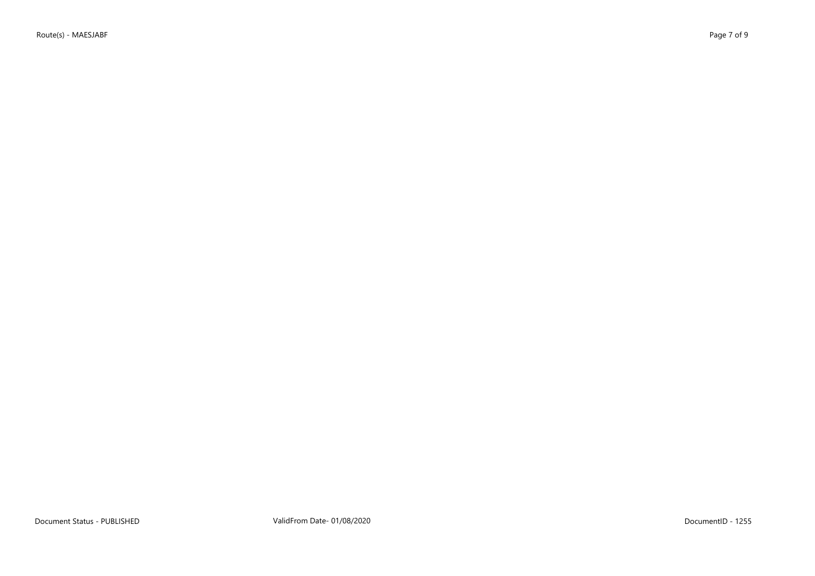Route(s) - MAESJABF Page 7 of 9 Page 7 of 9 Page 7 of 9 Page 7 of 9 Page 7 of 9 Page 7 of 9 Page 7 of 9 Page 7 of 9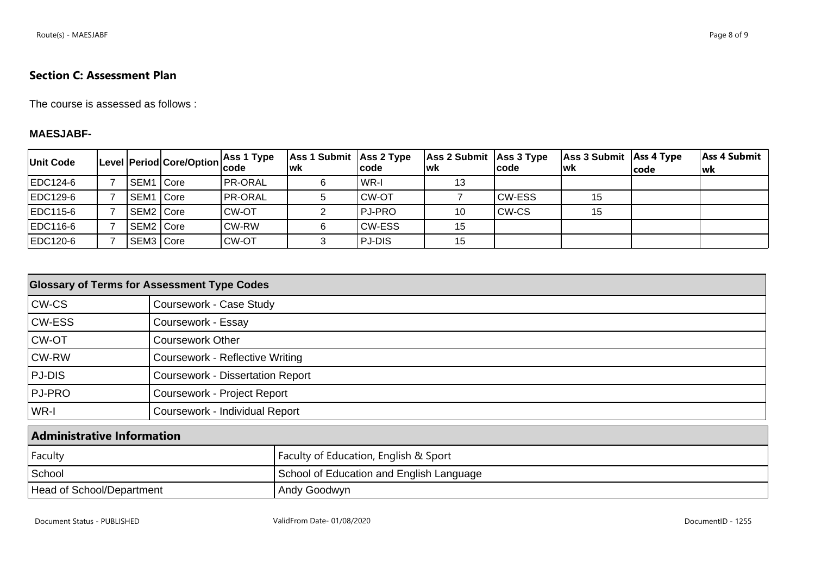## **Section C: Assessment Plan**

The course is assessed as follows :

#### **MAESJABF-**

| <b>Unit Code</b> |           | Level Period Core/Option | $\vert$ Ass 1 Type<br>Icode | Ass 1 Submit   Ass 2 Type<br>lwk. | lcode         | Ass 2 Submit Ass 3 Type<br>lwk | <b>Icode</b>  | Ass 3 Submit Ass 4 Type<br>lwk. | lcode | Ass 4 Submit<br>lwk. |
|------------------|-----------|--------------------------|-----------------------------|-----------------------------------|---------------|--------------------------------|---------------|---------------------------------|-------|----------------------|
| EDC124-6         | SEM1 Core |                          | <b>IPR-ORAL</b>             |                                   | UWR-I         | 13                             |               |                                 |       |                      |
| <b>EDC129-6</b>  | SEM1 Core |                          | <b>PR-ORAL</b>              |                                   | CW-OT         |                                | <b>CW-ESS</b> | 15                              |       |                      |
| EDC115-6         | SEM2 Core |                          | <b>CW-OT</b>                |                                   | <b>PJ-PRO</b> | 10                             | <b>CW-CS</b>  | 15                              |       |                      |
| EDC116-6         | SEM2 Core |                          | CW-RW                       |                                   | <b>CW-ESS</b> | 15                             |               |                                 |       |                      |
| <b>EDC120-6</b>  | SEM3 Core |                          | <b>CW-OT</b>                |                                   | PJ-DIS        | 15                             |               |                                 |       |                      |

| <b>Glossary of Terms for Assessment Type Codes</b> |                                         |  |  |  |  |  |
|----------------------------------------------------|-----------------------------------------|--|--|--|--|--|
| <b>CW-CS</b>                                       | Coursework - Case Study                 |  |  |  |  |  |
| CW-ESS                                             | Coursework - Essay                      |  |  |  |  |  |
| CW-OT                                              | <b>Coursework Other</b>                 |  |  |  |  |  |
| CW-RW                                              | <b>Coursework - Reflective Writing</b>  |  |  |  |  |  |
| $ P$ J-DIS                                         | <b>Coursework - Dissertation Report</b> |  |  |  |  |  |
| $PL$ PJ-PRO                                        | Coursework - Project Report             |  |  |  |  |  |
| WR-I                                               | Coursework - Individual Report          |  |  |  |  |  |
|                                                    |                                         |  |  |  |  |  |

## **Administrative Information**

| Faculty                   | <b>Faculty of Education, English &amp; Sport</b> |  |  |  |  |  |
|---------------------------|--------------------------------------------------|--|--|--|--|--|
| School                    | School of Education and English Language         |  |  |  |  |  |
| Head of School/Department | Andy Goodwyn                                     |  |  |  |  |  |